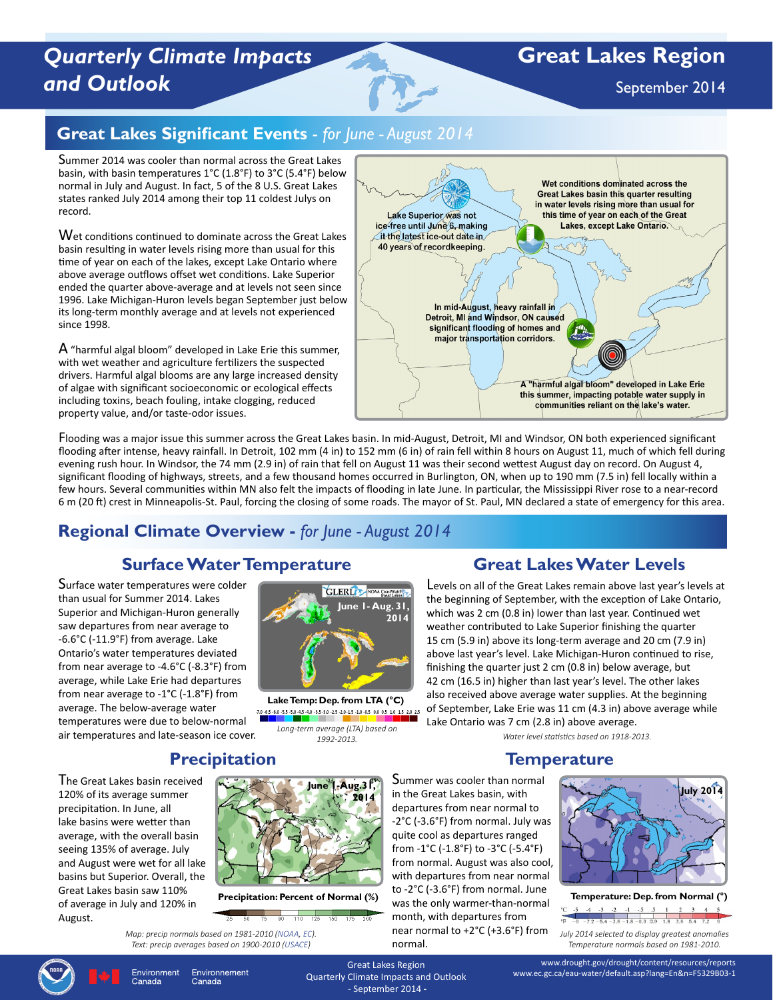# *Quarterly Climate Impacts and Outlook*

# **Great Lakes Region**

September 2014

## **Great Lakes Significant Events** - *for June - August 2014*

Summer 2014 was cooler than normal across the Great Lakes basin, with basin temperatures 1°C (1.8°F) to 3°C (5.4°F) below normal in July and August. In fact, 5 of the 8 U.S. Great Lakes states ranked July 2014 among their top 11 coldest Julys on record.

Wet conditions continued to dominate across the Great Lakes basin resulting in water levels rising more than usual for this time of year on each of the lakes, except Lake Ontario where above average outflows offset wet conditions. Lake Superior ended the quarter above-average and at levels not seen since 1996. Lake Michigan-Huron levels began September just below its long-term monthly average and at levels not experienced since 1998.

A "harmful algal bloom" developed in Lake Erie this summer, with wet weather and agriculture fertilizers the suspected drivers. Harmful algal blooms are any large increased density of algae with significant socioeconomic or ecological effects including toxins, beach fouling, intake clogging, reduced property value, and/or taste-odor issues.



Flooding was a major issue this summer across the Great Lakes basin. In mid-August, Detroit, MI and Windsor, ON both experienced significant flooding after intense, heavy rainfall. In Detroit, 102 mm (4 in) to 152 mm (6 in) of rain fell within 8 hours on August 11, much of which fell during evening rush hour. In Windsor, the 74 mm (2.9 in) of rain that fell on August 11 was their second wettest August day on record. On August 4, significant flooding of highways, streets, and a few thousand homes occurred in Burlington, ON, when up to 190 mm (7.5 in) fell locally within a few hours. Several communities within MN also felt the impacts of flooding in late June. In particular, the Mississippi River rose to a near-record 6 m (20 ft) crest in Minneapolis-St. Paul, forcing the closing of some roads. The mayor of St. Paul, MN declared a state of emergency for this area.

## **Regional Climate Overview -** *for June - August 2014*

## **Surface Water Temperature**

Surface water temperatures were colder than usual for Summer 2014. Lakes Superior and Michigan-Huron generally saw departures from near average to -6.6°C (-11.9°F) from average. Lake Ontario's water temperatures deviated from near average to -4.6°C (-8.3°F) from average, while Lake Erie had departures from near average to -1°C (-1.8°F) from average. The below-average water temperatures were due to below-normal air temperatures and late-season ice cover.



**Lake Temp: Dep. from LTA (°C)** 7.0 -6.5 -6.0 -5.5 -5.0 -4.5 -4.0 -3.5 -3.0 -2.5 -2.0 -1.5 -1.0 -0.5 0.0 0.5 1.0 1.5 2.0 2.5 *Long-term average (LTA) based on* 

*1992-2013.*

## **Great Lakes Water Levels**

Levels on all of the Great Lakes remain above last year's levels at the beginning of September, with the exception of Lake Ontario, which was 2 cm (0.8 in) lower than last year. Continued wet weather contributed to Lake Superior finishing the quarter 15 cm (5.9 in) above its long-term average and 20 cm (7.9 in) above last year's level. Lake Michigan-Huron continued to rise, finishing the quarter just 2 cm (0.8 in) below average, but 42 cm (16.5 in) higher than last year's level. The other lakes also received above average water supplies. At the beginning of September, Lake Erie was 11 cm (4.3 in) above average while Lake Ontario was 7 cm (2.8 in) above average.

*Water level statistics based on 1918-2013.* 

**Temperature**

## **Precipitation**

The Great Lakes basin received 120% of its average summer precipitation. In June, all lake basins were wetter than average, with the overall basin seeing 135% of average. July and August were wet for all lake basins but Superior. Overall, the Great Lakes basin saw 110% of average in July and 120% in August.



**Precipitation: Percent of Normal (%)**

75 90 110 125 150 *Map: precip normals based on 1981-2010 ([NOAA,](http://www.ncdc.noaa.gov/data-access/land-based-station-data/land-based-datasets/climate-normals/1981-2010-normals-data) [EC](http://climate.weather.gc.ca/climate_normals/index_e.html)). Text: precip averages based on 1900-2010 ([USACE\)](http://www.lre.usace.army.mil/Missions/GreatLakesInformation/WeatherInformation.aspx)*

Summer was cooler than normal departures from near normal to -2°C (-3.6°F) from normal. July was quite cool as departures ranged from -1°C (-1.8°F) to -3°C (-5.4°F) from normal. August was also cool, with departures from near normal to -2°C (-3.6°F) from normal. June was the only warmer-than-normal month, with departures from near normal to +2°C (+3.6°F) from normal.



**Temperature: Dep. from Normal (°)**   $-4$   $-3$   $-2$  $-7.2 - 5.4 - 3.6 - 1.8 - 0.9$  0.9 1.8 3.6 5.4 7.2 *July 2014 selected to display greatest anomalies Temperature normals based on 1981-2010.*



Great Lakes Region Quarterly Climate Impacts and Outlook - September 2014 **-**